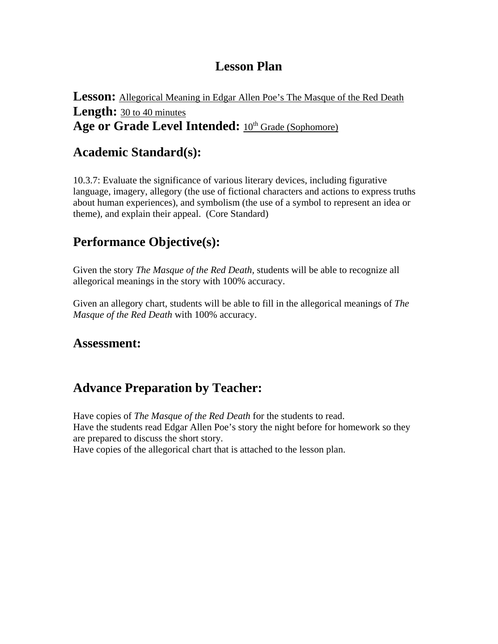# **Lesson Plan**

**Lesson:** Allegorical Meaning in Edgar Allen Poe's The Masque of the Red Death **Length:** 30 to 40 minutes Age or Grade Level Intended:  $10^{th}$  Grade (Sophomore)

#### **Academic Standard(s):**

10.3.7: Evaluate the significance of various literary devices, including figurative language, imagery, allegory (the use of fictional characters and actions to express truths about human experiences), and symbolism (the use of a symbol to represent an idea or theme), and explain their appeal. (Core Standard)

# **Performance Objective(s):**

Given the story *The Masque of the Red Death,* students will be able to recognize all allegorical meanings in the story with 100% accuracy.

Given an allegory chart, students will be able to fill in the allegorical meanings of *The Masque of the Red Death* with 100% accuracy.

#### **Assessment:**

## **Advance Preparation by Teacher:**

Have copies of *The Masque of the Red Death* for the students to read. Have the students read Edgar Allen Poe's story the night before for homework so they are prepared to discuss the short story. Have copies of the allegorical chart that is attached to the lesson plan.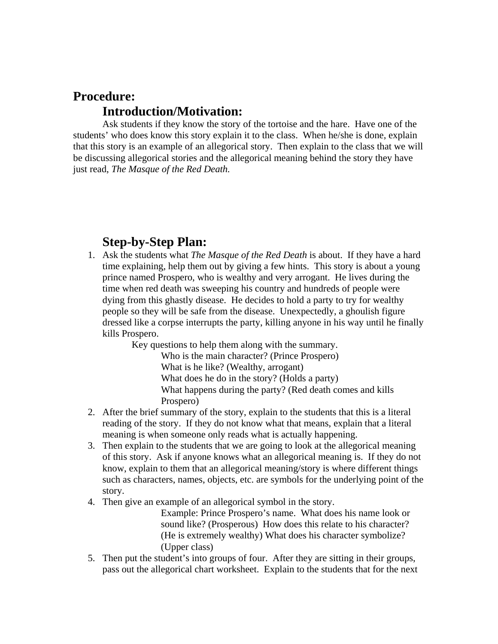# **Procedure: Introduction/Motivation:**

 Ask students if they know the story of the tortoise and the hare. Have one of the students' who does know this story explain it to the class. When he/she is done, explain that this story is an example of an allegorical story. Then explain to the class that we will be discussing allegorical stories and the allegorical meaning behind the story they have just read, *The Masque of the Red Death.* 

## **Step-by-Step Plan:**

1. Ask the students what *The Masque of the Red Death* is about. If they have a hard time explaining, help them out by giving a few hints. This story is about a young prince named Prospero, who is wealthy and very arrogant. He lives during the time when red death was sweeping his country and hundreds of people were dying from this ghastly disease. He decides to hold a party to try for wealthy people so they will be safe from the disease. Unexpectedly, a ghoulish figure dressed like a corpse interrupts the party, killing anyone in his way until he finally kills Prospero.

Key questions to help them along with the summary.

Who is the main character? (Prince Prospero) What is he like? (Wealthy, arrogant) What does he do in the story? (Holds a party) What happens during the party? (Red death comes and kills Prospero)

- 2. After the brief summary of the story, explain to the students that this is a literal reading of the story. If they do not know what that means, explain that a literal meaning is when someone only reads what is actually happening.
- 3. Then explain to the students that we are going to look at the allegorical meaning of this story. Ask if anyone knows what an allegorical meaning is. If they do not know, explain to them that an allegorical meaning/story is where different things such as characters, names, objects, etc. are symbols for the underlying point of the story.
- 4. Then give an example of an allegorical symbol in the story.

Example: Prince Prospero's name. What does his name look or sound like? (Prosperous) How does this relate to his character? (He is extremely wealthy) What does his character symbolize? (Upper class)

5. Then put the student's into groups of four. After they are sitting in their groups, pass out the allegorical chart worksheet. Explain to the students that for the next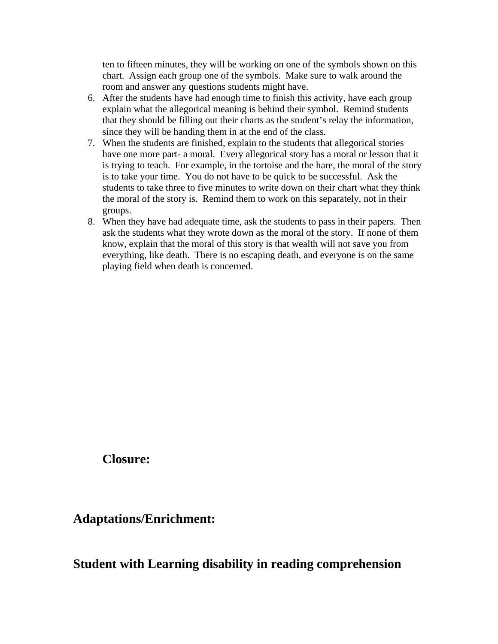ten to fifteen minutes, they will be working on one of the symbols shown on this chart. Assign each group one of the symbols. Make sure to walk around the room and answer any questions students might have.

- 6. After the students have had enough time to finish this activity, have each group explain what the allegorical meaning is behind their symbol. Remind students that they should be filling out their charts as the student's relay the information, since they will be handing them in at the end of the class.
- 7. When the students are finished, explain to the students that allegorical stories have one more part- a moral. Every allegorical story has a moral or lesson that it is trying to teach. For example, in the tortoise and the hare, the moral of the story is to take your time. You do not have to be quick to be successful. Ask the students to take three to five minutes to write down on their chart what they think the moral of the story is. Remind them to work on this separately, not in their groups.
- 8. When they have had adequate time, ask the students to pass in their papers. Then ask the students what they wrote down as the moral of the story. If none of them know, explain that the moral of this story is that wealth will not save you from everything, like death. There is no escaping death, and everyone is on the same playing field when death is concerned.

 **Closure:** 

#### **Adaptations/Enrichment:**

## **Student with Learning disability in reading comprehension**